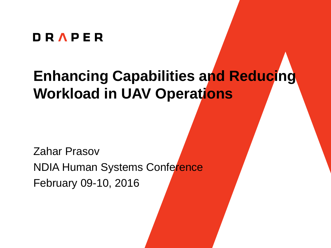#### **DRAPER**

### **Enhancing Capabilities and Reducing Workload in UAV Operations**

Zahar Prasov NDIA Human Systems Conference February 09-10, 2016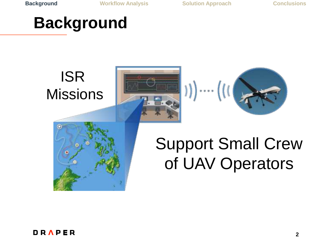**Background Workflow Analysis Solution Approach Conclusions**

### **Background**



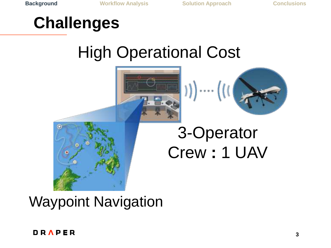### **Challenges**

# High Operational Cost





# 3-Operator Crew **:** 1 UAV



#### DRAPER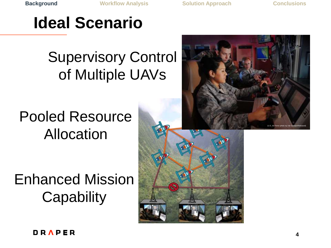**Background Workflow Analysis Solution Approach Conclusions**

### **Ideal Scenario**

### Supervisory Control of Multiple UAVs

### Pooled Resource Allocation

Enhanced Mission **Capability** 



DRAPER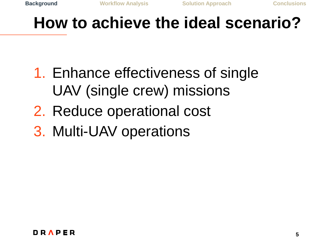### **How to achieve the ideal scenario?**

- 1. Enhance effectiveness of single UAV (single crew) missions
- 2. Reduce operational cost
- 3. Multi-UAV operations

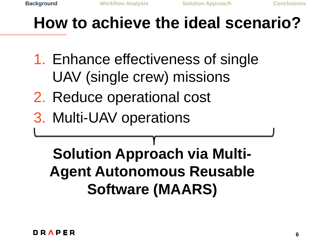### **How to achieve the ideal scenario?**

- 1. Enhance effectiveness of single UAV (single crew) missions
- 2. Reduce operational cost
- 3. Multi-UAV operations

### **Solution Approach via Multi-Agent Autonomous Reusable Software (MAARS)**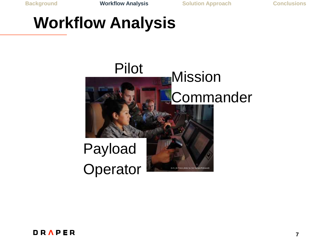### **Workflow Analysis**



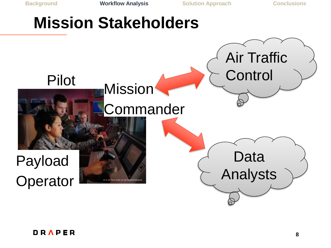### **Mission Stakeholders**

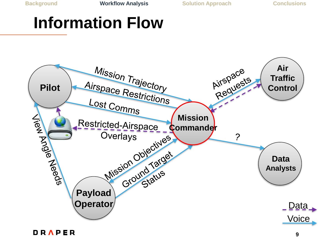### **Information Flow**

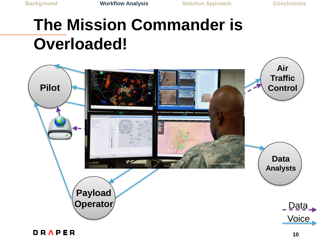# **The Mission Commander is Overloaded!**

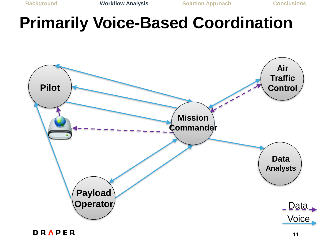### **Primarily Voice-Based Coordination**

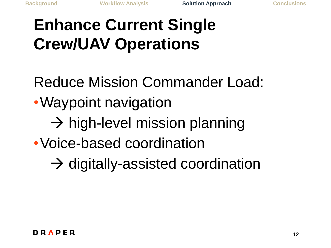# **Enhance Current Single Crew/UAV Operations**

- Reduce Mission Commander Load:
- •Waypoint navigation
	- $\rightarrow$  high-level mission planning
- •Voice-based coordination
	- $\rightarrow$  digitally-assisted coordination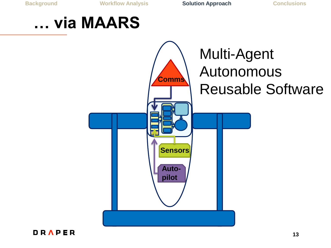**Background Workflow Analysis Solution Approach Conclusions**

#### **… via MAARS**



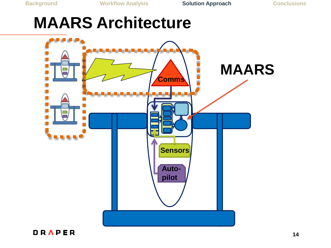## **MAARS Architecture**



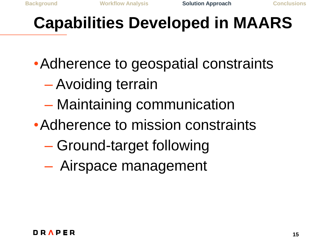### **Capabilities Developed in MAARS**

- •Adherence to geospatial constraints
	- Avoiding terrain
	- Maintaining communication
- •Adherence to mission constraints
	- Ground-target following
	- Airspace management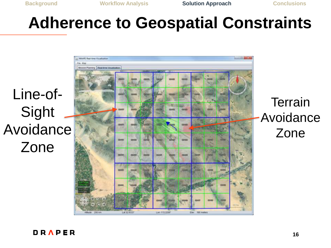### **Adherence to Geospatial Constraints**

Line-of-Sight Avoidance Zone



**Terrain** Avoidance Zone

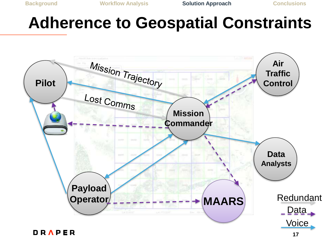#### **Adherence to Geospatial Constraints**

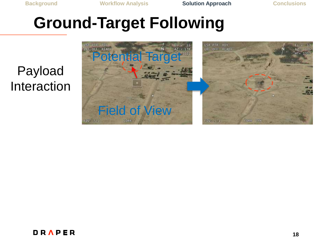#### Payload Interaction



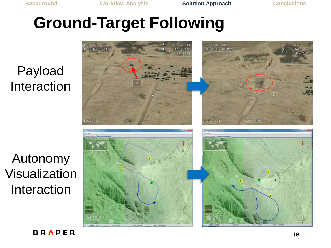#### Payload Interaction

Autonomy Visualization Interaction



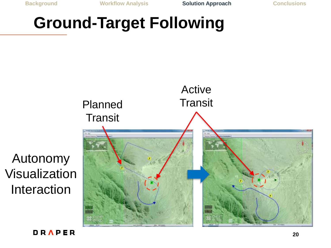



Autonomy

Interaction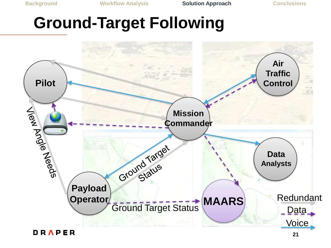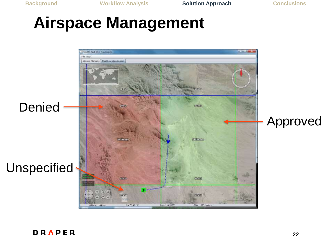### **Airspace Management**

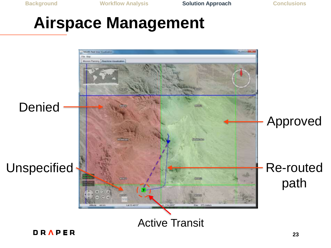### **Airspace Management**

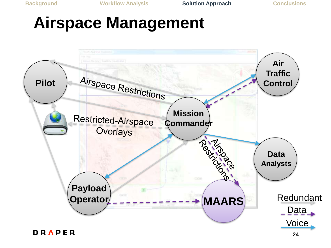### **Airspace Management**

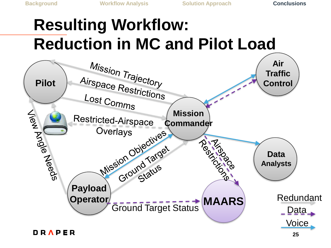# **Resulting Workflow: Reduction in MC and Pilot Load**

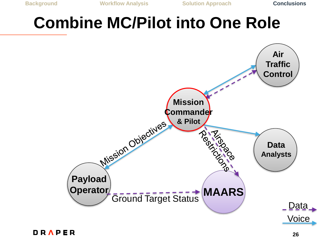### **Combine MC/Pilot into One Role**

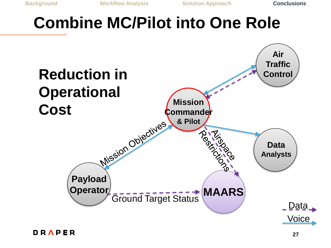### **Combine MC/Pilot into One Role**

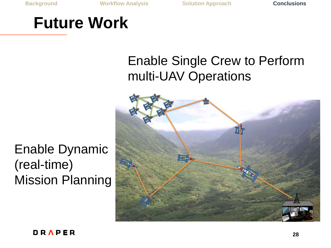### **Future Work**

#### Enable Dynamic (real-time) Mission Planning

#### Enable Single Crew to Perform multi-UAV Operations

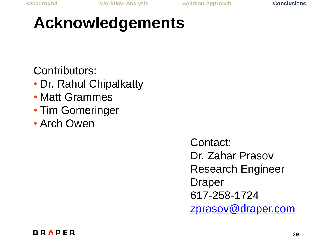### **Acknowledgements**

Contributors:

- Dr. Rahul Chipalkatty
- Matt Grammes
- Tim Gomeringer
- Arch Owen

Contact: Dr. Zahar Prasov Research Engineer Draper 617-258-1724 [zprasov@draper.com](mailto:zprasov@draper.com)

![](_page_28_Picture_11.jpeg)